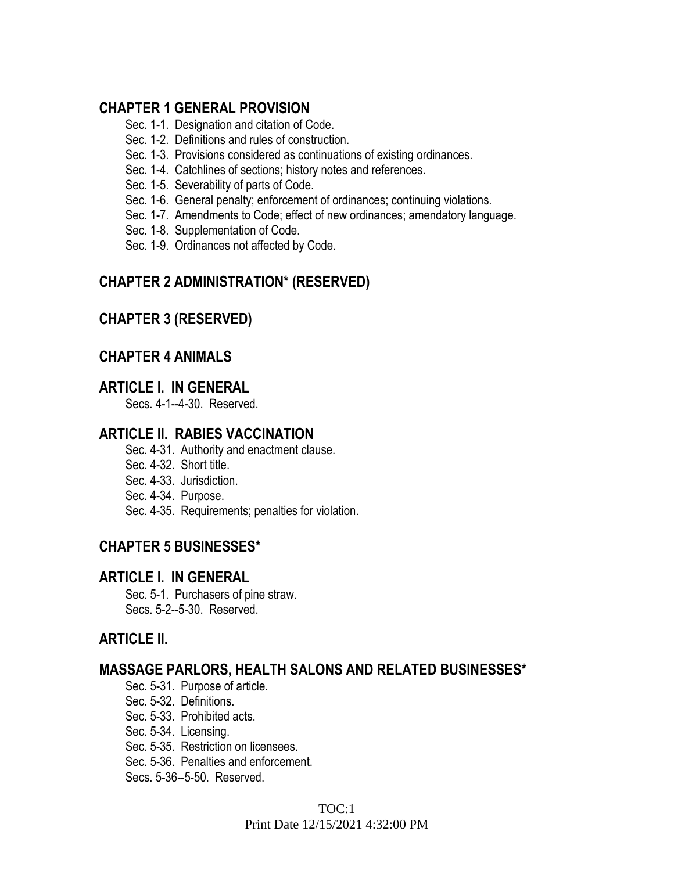# **CHAPTER 1 GENERAL PROVISION**

- Sec. 1-1. Designation and citation of Code.
- Sec. 1-2. Definitions and rules of construction.
- Sec. 1-3. Provisions considered as continuations of existing ordinances.
- Sec. 1-4. Catchlines of sections; history notes and references.
- Sec. 1-5. Severability of parts of Code.
- Sec. 1-6. General penalty; enforcement of ordinances; continuing violations.
- Sec. 1-7. Amendments to Code; effect of new ordinances; amendatory language.
- Sec. 1-8. Supplementation of Code.
- Sec. 1-9. Ordinances not affected by Code.

# **CHAPTER 2 ADMINISTRATION\* (RESERVED)**

# **CHAPTER 3 (RESERVED)**

## **CHAPTER 4 ANIMALS**

## **ARTICLE I. IN GENERAL**

Secs. 4-1--4-30. Reserved.

## **ARTICLE II. RABIES VACCINATION**

- Sec. 4-31. Authority and enactment clause.
- Sec. 4-32. Short title.
- Sec. 4-33. Jurisdiction.
- Sec. 4-34. Purpose.
- Sec. 4-35. Requirements; penalties for violation.

# **CHAPTER 5 BUSINESSES\***

## **ARTICLE I. IN GENERAL**

Sec. 5-1. Purchasers of pine straw. Secs. 5-2--5-30. Reserved.

# **ARTICLE II.**

## **MASSAGE PARLORS, HEALTH SALONS AND RELATED BUSINESSES\***

- Sec. 5-31. Purpose of article.
- Sec. 5-32. Definitions.
- Sec. 5-33. Prohibited acts.
- Sec. 5-34. Licensing.
- Sec. 5-35. Restriction on licensees.
- Sec. 5-36. Penalties and enforcement.
- Secs. 5-36--5-50. Reserved.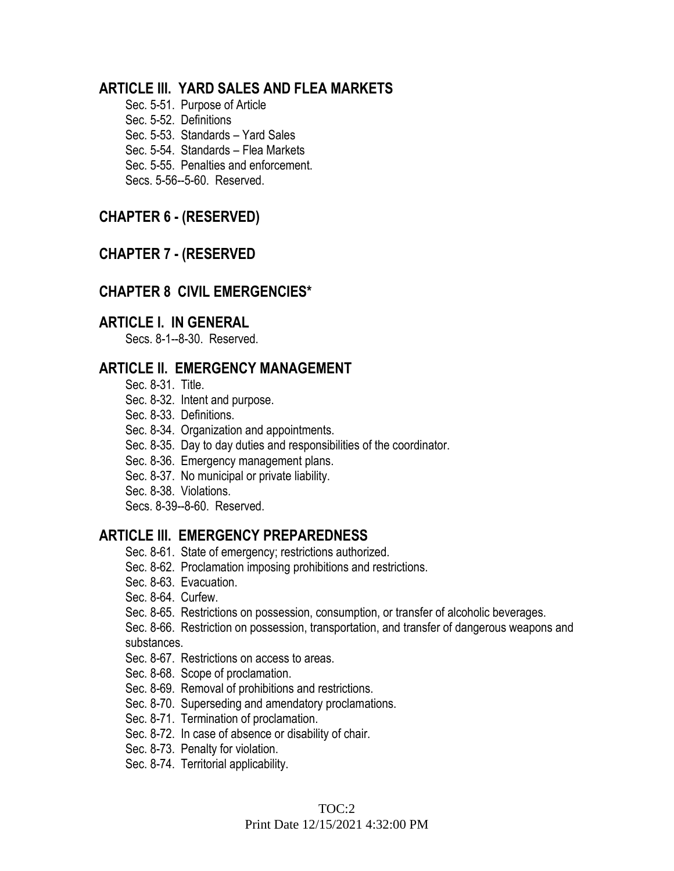## **ARTICLE III. YARD SALES AND FLEA MARKETS**

Sec. 5-51. Purpose of Article Sec. 5-52. Definitions Sec. 5-53. Standards – Yard Sales Sec. 5-54. Standards – Flea Markets Sec. 5-55. Penalties and enforcement. Secs. 5-56--5-60. Reserved.

## **CHAPTER 6 - (RESERVED)**

## **CHAPTER 7 - (RESERVED**

## **CHAPTER 8 CIVIL EMERGENCIES\***

## **ARTICLE I. IN GENERAL**

Secs. 8-1--8-30. Reserved.

## **ARTICLE II. EMERGENCY MANAGEMENT**

- Sec. 8-31. Title.
- Sec. 8-32. Intent and purpose.
- Sec. 8-33. Definitions.
- Sec. 8-34. Organization and appointments.
- Sec. 8-35. Day to day duties and responsibilities of the coordinator.
- Sec. 8-36. Emergency management plans.
- Sec. 8-37. No municipal or private liability.
- Sec. 8-38. Violations.
- Secs. 8-39--8-60. Reserved.

### **ARTICLE III. EMERGENCY PREPAREDNESS**

- Sec. 8-61. State of emergency; restrictions authorized.
- Sec. 8-62. Proclamation imposing prohibitions and restrictions.
- Sec. 8-63. Evacuation.
- Sec. 8-64. Curfew.
- Sec. 8-65. Restrictions on possession, consumption, or transfer of alcoholic beverages.
- Sec. 8-66. Restriction on possession, transportation, and transfer of dangerous weapons and substances.
- Sec. 8-67. Restrictions on access to areas.
- Sec. 8-68. Scope of proclamation.
- Sec. 8-69. Removal of prohibitions and restrictions.
- Sec. 8-70. Superseding and amendatory proclamations.
- Sec. 8-71. Termination of proclamation.
- Sec. 8-72. In case of absence or disability of chair.
- Sec. 8-73. Penalty for violation.
- Sec. 8-74. Territorial applicability.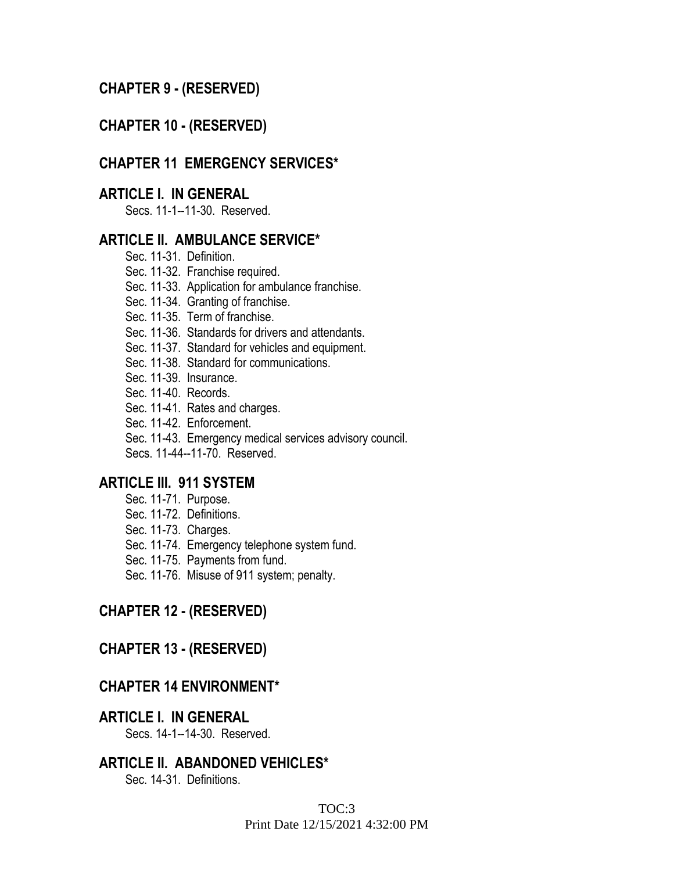## **CHAPTER 9 - (RESERVED)**

### **CHAPTER 10 - (RESERVED)**

#### **CHAPTER 11 EMERGENCY SERVICES\***

### **ARTICLE I. IN GENERAL**

Secs. 11-1--11-30. Reserved.

#### **ARTICLE II. AMBULANCE SERVICE\***

- Sec. 11-31. Definition.
- Sec. 11-32. Franchise required.
- Sec. 11-33. Application for ambulance franchise.
- Sec. 11-34. Granting of franchise.
- Sec. 11-35. Term of franchise.
- Sec. 11-36. Standards for drivers and attendants.
- Sec. 11-37. Standard for vehicles and equipment.
- Sec. 11-38. Standard for communications.
- Sec. 11-39. Insurance.
- Sec. 11-40. Records.
- Sec. 11-41. Rates and charges.
- Sec. 11-42. Enforcement.
- Sec. 11-43. Emergency medical services advisory council.

Secs. 11-44--11-70. Reserved.

#### **ARTICLE III. 911 SYSTEM**

- Sec. 11-71. Purpose.
- Sec. 11-72. Definitions.
- Sec. 11-73. Charges.
- Sec. 11-74. Emergency telephone system fund.
- Sec. 11-75. Payments from fund.
- Sec. 11-76. Misuse of 911 system; penalty.

### **CHAPTER 12 - (RESERVED)**

#### **CHAPTER 13 - (RESERVED)**

#### **CHAPTER 14 ENVIRONMENT\***

#### **ARTICLE I. IN GENERAL**

Secs. 14-1--14-30. Reserved.

### **ARTICLE II. ABANDONED VEHICLES\***

Sec. 14-31. Definitions.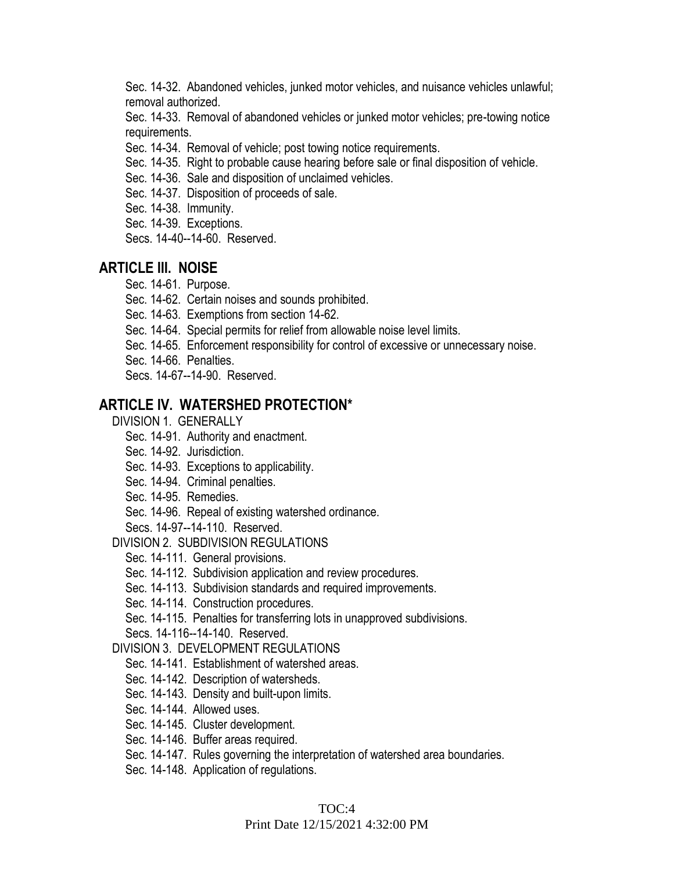Sec. 14-32. Abandoned vehicles, junked motor vehicles, and nuisance vehicles unlawful; removal authorized.

Sec. 14-33. Removal of abandoned vehicles or junked motor vehicles; pre-towing notice requirements.

Sec. 14-34. Removal of vehicle; post towing notice requirements.

- Sec. 14-35. Right to probable cause hearing before sale or final disposition of vehicle.
- Sec. 14-36. Sale and disposition of unclaimed vehicles.
- Sec. 14-37. Disposition of proceeds of sale.
- Sec. 14-38. Immunity.
- Sec. 14-39. Exceptions.
- Secs. 14-40--14-60. Reserved.

## **ARTICLE III. NOISE**

- Sec. 14-61. Purpose.
- Sec. 14-62. Certain noises and sounds prohibited.
- Sec. 14-63. Exemptions from section 14-62.
- Sec. 14-64. Special permits for relief from allowable noise level limits.
- Sec. 14-65. Enforcement responsibility for control of excessive or unnecessary noise.
- Sec. 14-66. Penalties.
- Secs. 14-67--14-90. Reserved.

## **ARTICLE IV. WATERSHED PROTECTION\***

- DIVISION 1. GENERALLY
	- Sec. 14-91. Authority and enactment.
	- Sec. 14-92. Jurisdiction.
	- Sec. 14-93. Exceptions to applicability.
	- Sec. 14-94. Criminal penalties.
	- Sec. 14-95. Remedies.
	- Sec. 14-96. Repeal of existing watershed ordinance.

Secs. 14-97--14-110. Reserved.

DIVISION 2. SUBDIVISION REGULATIONS

- Sec. 14-111. General provisions.
- Sec. 14-112. Subdivision application and review procedures.
- Sec. 14-113. Subdivision standards and required improvements.
- Sec. 14-114. Construction procedures.
- Sec. 14-115. Penalties for transferring lots in unapproved subdivisions.

Secs. 14-116--14-140. Reserved.

#### DIVISION 3. DEVELOPMENT REGULATIONS

- Sec. 14-141. Establishment of watershed areas.
- Sec. 14-142. Description of watersheds.
- Sec. 14-143. Density and built-upon limits.
- Sec. 14-144. Allowed uses.
- Sec. 14-145. Cluster development.
- Sec. 14-146. Buffer areas required.
- Sec. 14-147. Rules governing the interpretation of watershed area boundaries.
- Sec. 14-148. Application of regulations.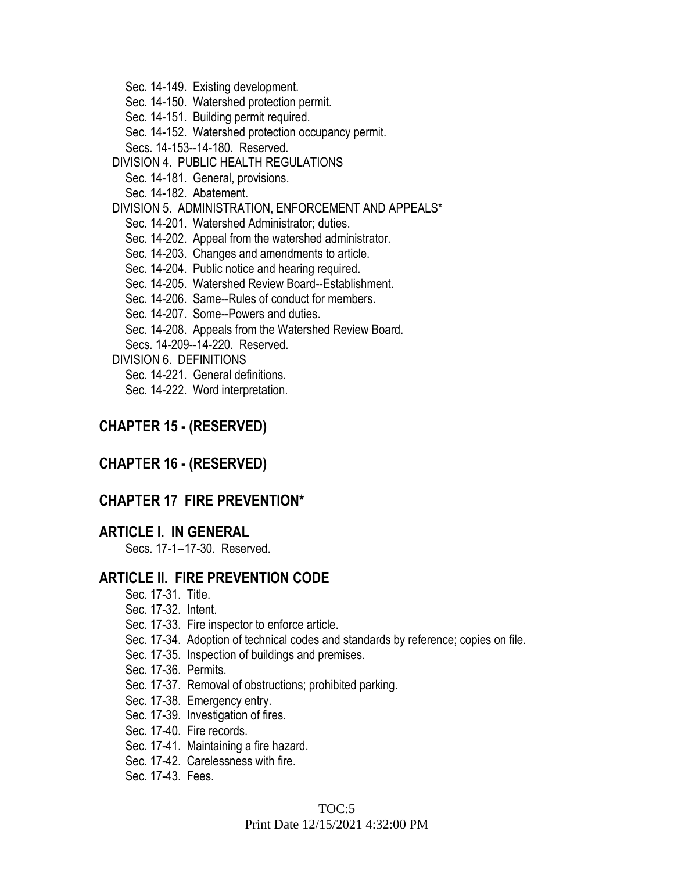Sec. 14-149. Existing development.

Sec. 14-150. Watershed protection permit.

Sec. 14-151. Building permit required.

Sec. 14-152. Watershed protection occupancy permit.

Secs. 14-153--14-180. Reserved.

DIVISION 4. PUBLIC HEALTH REGULATIONS

Sec. 14-181. General, provisions.

Sec. 14-182. Abatement.

DIVISION 5. ADMINISTRATION, ENFORCEMENT AND APPEALS\*

Sec. 14-201. Watershed Administrator; duties.

Sec. 14-202. Appeal from the watershed administrator.

- Sec. 14-203. Changes and amendments to article.
- Sec. 14-204. Public notice and hearing required.

Sec. 14-205. Watershed Review Board--Establishment.

Sec. 14-206. Same--Rules of conduct for members.

Sec. 14-207. Some--Powers and duties.

Sec. 14-208. Appeals from the Watershed Review Board.

Secs. 14-209--14-220. Reserved.

DIVISION 6. DEFINITIONS

Sec. 14-221. General definitions.

Sec. 14-222. Word interpretation.

### **CHAPTER 15 - (RESERVED)**

### **CHAPTER 16 - (RESERVED)**

### **CHAPTER 17 FIRE PREVENTION\***

#### **ARTICLE I. IN GENERAL**

Secs. 17-1--17-30. Reserved.

## **ARTICLE II. FIRE PREVENTION CODE**

- Sec. 17-31. Title.
- Sec. 17-32. Intent.
- Sec. 17-33. Fire inspector to enforce article.
- Sec. 17-34. Adoption of technical codes and standards by reference; copies on file.
- Sec. 17-35. Inspection of buildings and premises.
- Sec. 17-36. Permits.
- Sec. 17-37. Removal of obstructions; prohibited parking.
- Sec. 17-38. Emergency entry.
- Sec. 17-39. Investigation of fires.
- Sec. 17-40. Fire records.
- Sec. 17-41. Maintaining a fire hazard.
- Sec. 17-42. Carelessness with fire.
- Sec. 17-43. Fees.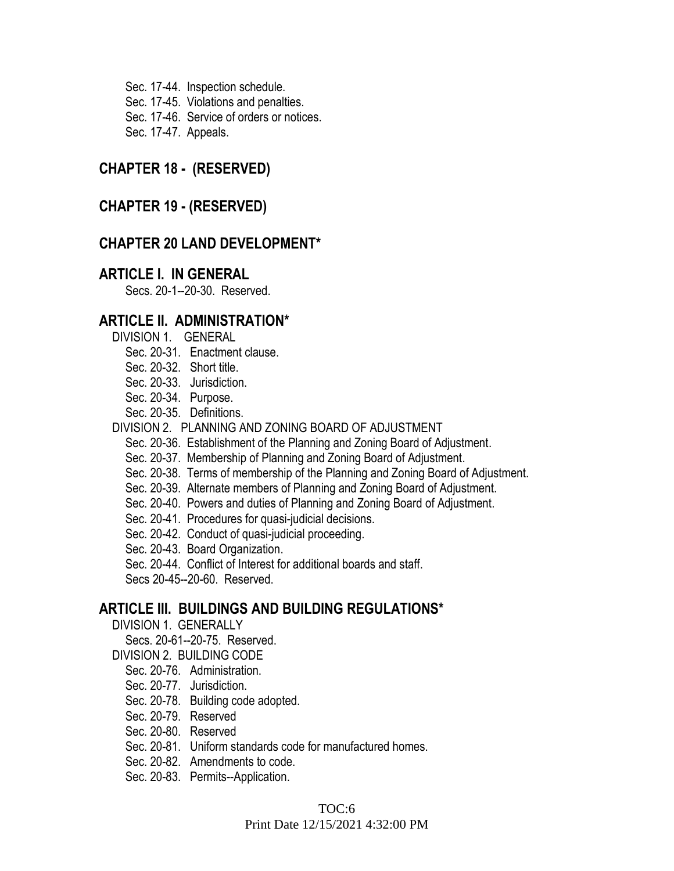Sec. 17-44. Inspection schedule. Sec. 17-45. Violations and penalties.

Sec. 17-46. Service of orders or notices.

Sec. 17-47. Appeals.

## **CHAPTER 18 - (RESERVED)**

## **CHAPTER 19 - (RESERVED)**

## **CHAPTER 20 LAND DEVELOPMENT\***

#### **ARTICLE I. IN GENERAL**

Secs. 20-1--20-30. Reserved.

### **ARTICLE II. ADMINISTRATION\***

- DIVISION 1. GENERAL
	- Sec. 20-31. Enactment clause.
	- Sec. 20-32. Short title.
	- Sec. 20-33. Jurisdiction.
	- Sec. 20-34. Purpose.
	- Sec. 20-35. Definitions.
- DIVISION 2. PLANNING AND ZONING BOARD OF ADJUSTMENT
	- Sec. 20-36. Establishment of the Planning and Zoning Board of Adjustment.
	- Sec. 20-37. Membership of Planning and Zoning Board of Adjustment.
	- Sec. 20-38. Terms of membership of the Planning and Zoning Board of Adjustment.
	- Sec. 20-39. Alternate members of Planning and Zoning Board of Adjustment.
	- Sec. 20-40. Powers and duties of Planning and Zoning Board of Adjustment.
	- Sec. 20-41. Procedures for quasi-judicial decisions.
	- Sec. 20-42. Conduct of quasi-judicial proceeding.
	- Sec. 20-43. Board Organization.
	- Sec. 20-44. Conflict of Interest for additional boards and staff.
	- Secs 20-45--20-60. Reserved.

## **ARTICLE III. BUILDINGS AND BUILDING REGULATIONS\***

- DIVISION 1. GENERALLY
	- Secs. 20-61--20-75. Reserved.
- DIVISION 2. BUILDING CODE
	- Sec. 20-76. Administration.
	- Sec. 20-77. Jurisdiction.
	- Sec. 20-78. Building code adopted.
	- Sec. 20-79. Reserved
	- Sec. 20-80. Reserved
	- Sec. 20-81. Uniform standards code for manufactured homes.
	- Sec. 20-82. Amendments to code.
	- Sec. 20-83. Permits--Application.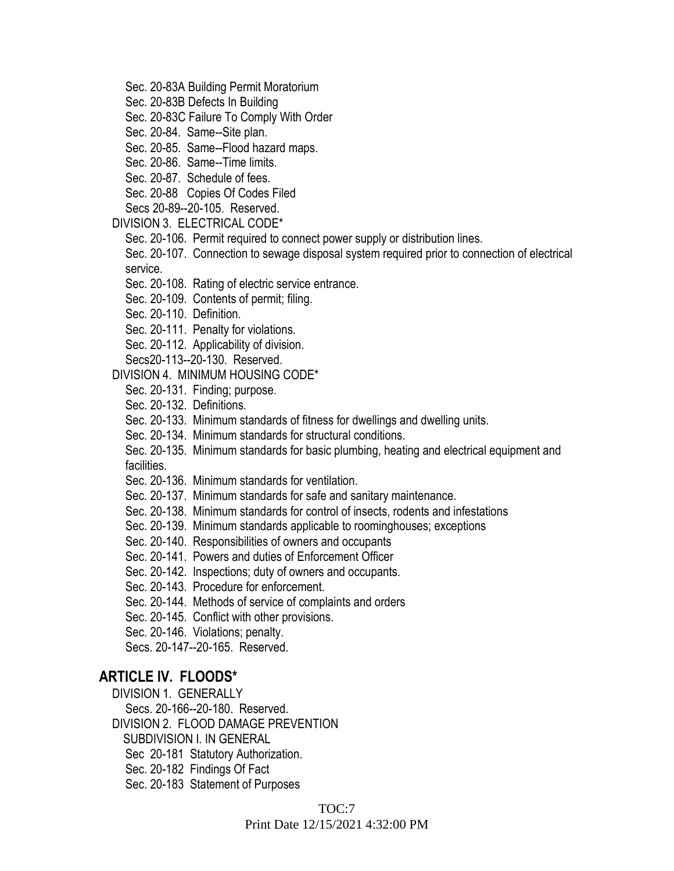- Sec. 20-83A Building Permit Moratorium
- Sec. 20-83B Defects In Building

Sec. 20-83C Failure To Comply With Order

Sec. 20-84. Same--Site plan.

Sec. 20-85. Same--Flood hazard maps.

Sec. 20-86. Same--Time limits.

Sec. 20-87. Schedule of fees.

Sec. 20-88 Copies Of Codes Filed

Secs 20-89--20-105. Reserved.

DIVISION 3. ELECTRICAL CODE\*

Sec. 20-106. Permit required to connect power supply or distribution lines.

Sec. 20-107. Connection to sewage disposal system required prior to connection of electrical service.

Sec. 20-108. Rating of electric service entrance.

Sec. 20-109. Contents of permit; filing.

Sec. 20-110. Definition.

Sec. 20-111. Penalty for violations.

Sec. 20-112. Applicability of division.

Secs20-113--20-130. Reserved.

#### DIVISION 4. MINIMUM HOUSING CODE\*

Sec. 20-131. Finding; purpose.

Sec. 20-132. Definitions.

Sec. 20-133. Minimum standards of fitness for dwellings and dwelling units.

Sec. 20-134. Minimum standards for structural conditions.

Sec. 20-135. Minimum standards for basic plumbing, heating and electrical equipment and facilities.

Sec. 20-136. Minimum standards for ventilation.

Sec. 20-137. Minimum standards for safe and sanitary maintenance.

Sec. 20-138. Minimum standards for control of insects, rodents and infestations

Sec. 20-139. Minimum standards applicable to roominghouses; exceptions

Sec. 20-140. Responsibilities of owners and occupants

Sec. 20-141. Powers and duties of Enforcement Officer

Sec. 20-142. Inspections; duty of owners and occupants.

Sec. 20-143. Procedure for enforcement.

Sec. 20-144. Methods of service of complaints and orders

Sec. 20-145. Conflict with other provisions.

Sec. 20-146. Violations; penalty.

Secs. 20-147--20-165. Reserved.

#### **ARTICLE IV. FLOODS\***

DIVISION 1. GENERALLY

Secs. 20-166--20-180. Reserved.

DIVISION 2. FLOOD DAMAGE PREVENTION

SUBDIVISION I. IN GENERAL

Sec 20-181 Statutory Authorization.

Sec. 20-182 Findings Of Fact

Sec. 20-183 Statement of Purposes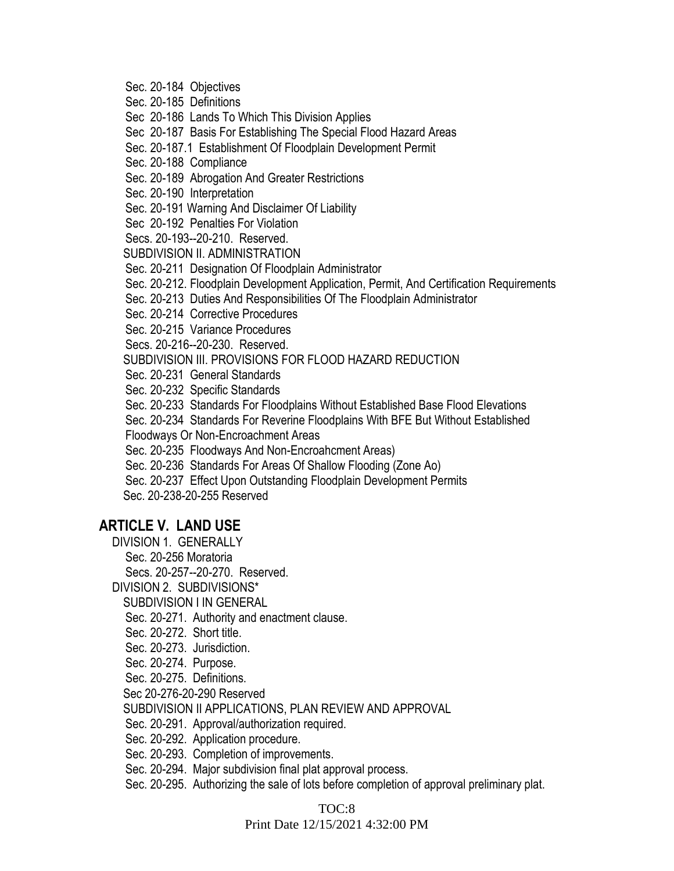- Sec. 20-184 Objectives
- Sec. 20-185 Definitions
- Sec 20-186 Lands To Which This Division Applies
- Sec 20-187 Basis For Establishing The Special Flood Hazard Areas
- Sec. 20-187.1 Establishment Of Floodplain Development Permit
- Sec. 20-188 Compliance
- Sec. 20-189 Abrogation And Greater Restrictions
- Sec. 20-190 Interpretation
- Sec. 20-191 Warning And Disclaimer Of Liability
- Sec 20-192 Penalties For Violation
- Secs. 20-193--20-210. Reserved.
- SUBDIVISION II. ADMINISTRATION
- Sec. 20-211 Designation Of Floodplain Administrator
- Sec. 20-212. Floodplain Development Application, Permit, And Certification Requirements
- Sec. 20-213 Duties And Responsibilities Of The Floodplain Administrator
- Sec. 20-214 Corrective Procedures
- Sec. 20-215 Variance Procedures
- Secs. 20-216--20-230. Reserved.
- SUBDIVISION III. PROVISIONS FOR FLOOD HAZARD REDUCTION
- Sec. 20-231 General Standards
- Sec. 20-232 Specific Standards
- Sec. 20-233 Standards For Floodplains Without Established Base Flood Elevations
- Sec. 20-234 Standards For Reverine Floodplains With BFE But Without Established
- Floodways Or Non-Encroachment Areas
- Sec. 20-235 Floodways And Non-Encroahcment Areas)
- Sec. 20-236 Standards For Areas Of Shallow Flooding (Zone Ao)
- Sec. 20-237 Effect Upon Outstanding Floodplain Development Permits
- Sec. 20-238-20-255 Reserved

# **ARTICLE V. LAND USE**

- DIVISION 1. GENERALLY
	- Sec. 20-256 Moratoria
	- Secs. 20-257--20-270. Reserved.
- DIVISION 2. SUBDIVISIONS\*
- SUBDIVISION I IN GENERAL
- Sec. 20-271. Authority and enactment clause.
- Sec. 20-272. Short title.
- Sec. 20-273. Jurisdiction.
- Sec. 20-274. Purpose.
- Sec. 20-275. Definitions.
- Sec 20-276-20-290 Reserved
- SUBDIVISION II APPLICATIONS, PLAN REVIEW AND APPROVAL
- Sec. 20-291. Approval/authorization required.
- Sec. 20-292. Application procedure.
- Sec. 20-293. Completion of improvements.
- Sec. 20-294. Major subdivision final plat approval process.
- Sec. 20-295. Authorizing the sale of lots before completion of approval preliminary plat.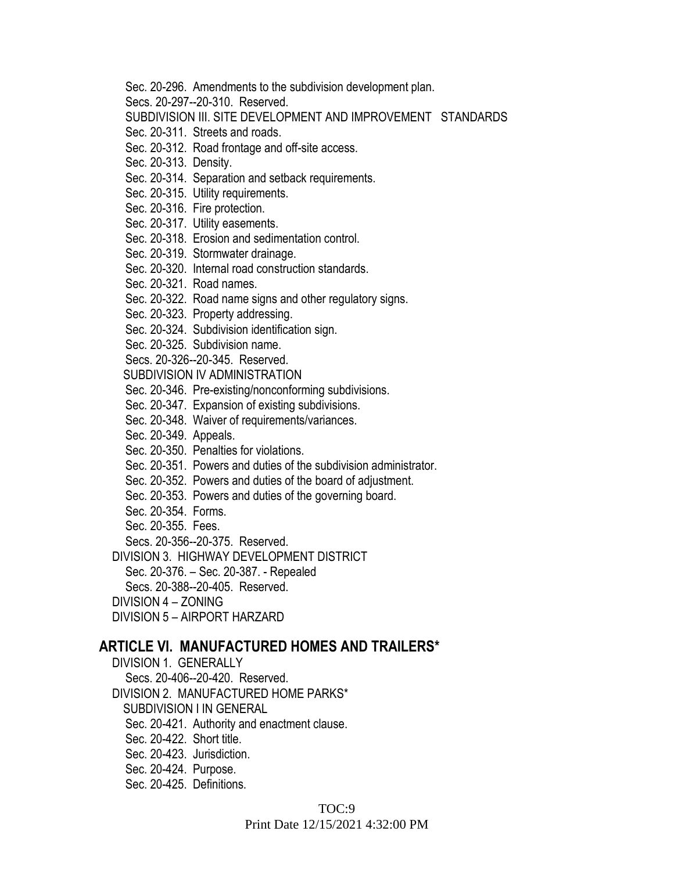Sec. 20-296. Amendments to the subdivision development plan.

Secs. 20-297--20-310. Reserved.

SUBDIVISION III. SITE DEVELOPMENT AND IMPROVEMENT STANDARDS

Sec. 20-311. Streets and roads.

Sec. 20-312. Road frontage and off-site access.

Sec. 20-313. Density.

Sec. 20-314. Separation and setback requirements.

Sec. 20-315. Utility requirements.

Sec. 20-316. Fire protection.

Sec. 20-317. Utility easements.

Sec. 20-318. Erosion and sedimentation control.

Sec. 20-319. Stormwater drainage.

Sec. 20-320. Internal road construction standards.

Sec. 20-321. Road names.

Sec. 20-322. Road name signs and other regulatory signs.

Sec. 20-323. Property addressing.

Sec. 20-324. Subdivision identification sign.

Sec. 20-325. Subdivision name.

Secs. 20-326--20-345. Reserved.

SUBDIVISION IV ADMINISTRATION

Sec. 20-346. Pre-existing/nonconforming subdivisions.

Sec. 20-347. Expansion of existing subdivisions.

Sec. 20-348. Waiver of requirements/variances.

Sec. 20-349. Appeals.

Sec. 20-350. Penalties for violations.

Sec. 20-351. Powers and duties of the subdivision administrator.

Sec. 20-352. Powers and duties of the board of adjustment.

Sec. 20-353. Powers and duties of the governing board.

Sec. 20-354. Forms.

Sec. 20-355. Fees.

Secs. 20-356--20-375. Reserved.

DIVISION 3. HIGHWAY DEVELOPMENT DISTRICT

Sec. 20-376. – Sec. 20-387. - Repealed

Secs. 20-388--20-405. Reserved.

DIVISION 4 – ZONING

DIVISION 5 – AIRPORT HARZARD

### **ARTICLE VI. MANUFACTURED HOMES AND TRAILERS\***

DIVISION 1. GENERALLY

Secs. 20-406--20-420. Reserved.

DIVISION 2. MANUFACTURED HOME PARKS\*

SUBDIVISION I IN GENERAL

Sec. 20-421. Authority and enactment clause.

Sec. 20-422. Short title.

Sec. 20-423. Jurisdiction.

Sec. 20-424. Purpose.

Sec. 20-425. Definitions.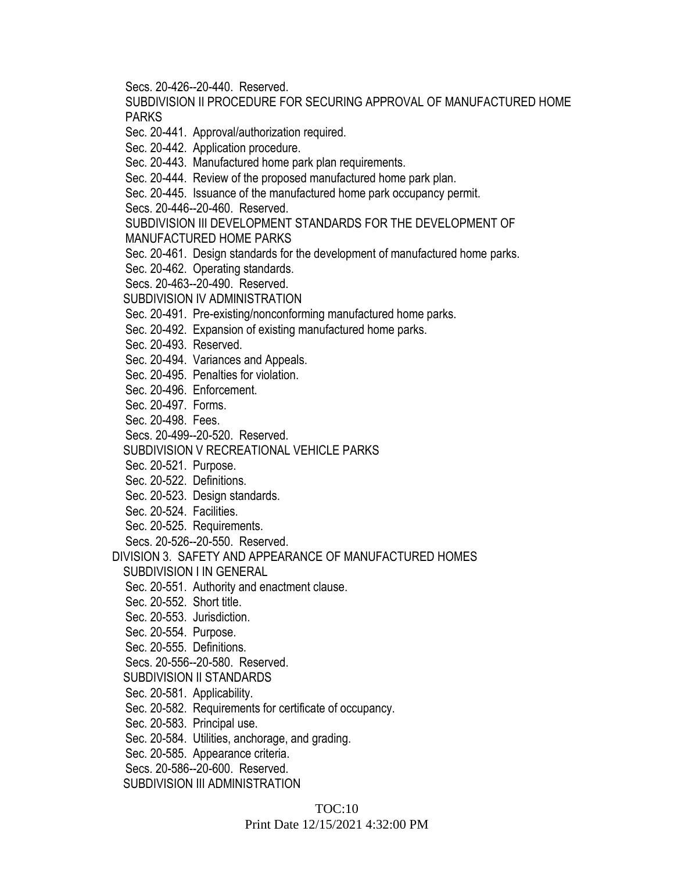Secs. 20-426--20-440. Reserved.

SUBDIVISION II PROCEDURE FOR SECURING APPROVAL OF MANUFACTURED HOME PARKS

Sec. 20-441. Approval/authorization required.

Sec. 20-442. Application procedure.

Sec. 20-443. Manufactured home park plan requirements.

Sec. 20-444. Review of the proposed manufactured home park plan.

Sec. 20-445. Issuance of the manufactured home park occupancy permit.

Secs. 20-446--20-460. Reserved.

SUBDIVISION III DEVELOPMENT STANDARDS FOR THE DEVELOPMENT OF MANUFACTURED HOME PARKS

Sec. 20-461. Design standards for the development of manufactured home parks.

Sec. 20-462. Operating standards.

Secs. 20-463--20-490. Reserved.

SUBDIVISION IV ADMINISTRATION

Sec. 20-491. Pre-existing/nonconforming manufactured home parks.

Sec. 20-492. Expansion of existing manufactured home parks.

Sec. 20-493. Reserved.

Sec. 20-494. Variances and Appeals.

Sec. 20-495. Penalties for violation.

Sec. 20-496. Enforcement.

Sec. 20-497. Forms.

Sec. 20-498. Fees.

Secs. 20-499--20-520. Reserved.

SUBDIVISION V RECREATIONAL VEHICLE PARKS

Sec. 20-521. Purpose.

Sec. 20-522. Definitions.

Sec. 20-523. Design standards.

Sec. 20-524. Facilities.

Sec. 20-525. Requirements.

Secs. 20-526--20-550. Reserved.

DIVISION 3. SAFETY AND APPEARANCE OF MANUFACTURED HOMES SUBDIVISION I IN GENERAL

Sec. 20-551. Authority and enactment clause.

Sec. 20-552. Short title.

Sec. 20-553. Jurisdiction.

Sec. 20-554. Purpose.

Sec. 20-555. Definitions.

Secs. 20-556--20-580. Reserved.

SUBDIVISION II STANDARDS

Sec. 20-581. Applicability.

Sec. 20-582. Requirements for certificate of occupancy.

Sec. 20-583. Principal use.

Sec. 20-584. Utilities, anchorage, and grading.

Sec. 20-585. Appearance criteria.

Secs. 20-586--20-600. Reserved.

SUBDIVISION III ADMINISTRATION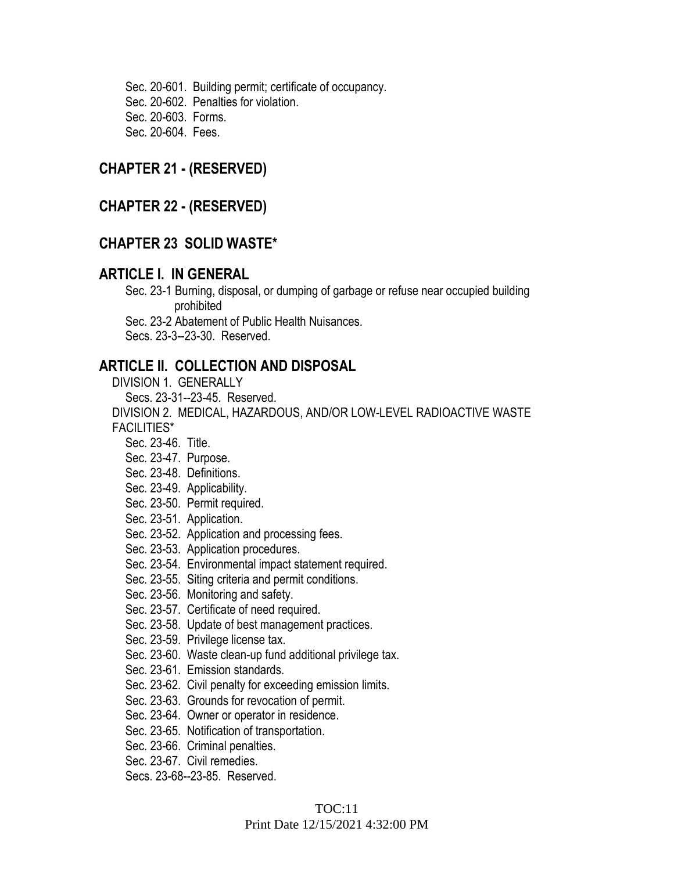Sec. 20-601. Building permit; certificate of occupancy. Sec. 20-602. Penalties for violation. Sec. 20-603. Forms. Sec. 20-604. Fees.

#### **CHAPTER 21 - (RESERVED)**

#### **CHAPTER 22 - (RESERVED)**

#### **CHAPTER 23 SOLID WASTE\***

#### **ARTICLE I. IN GENERAL**

 Sec. 23-1 Burning, disposal, or dumping of garbage or refuse near occupied building prohibited

Sec. 23-2 Abatement of Public Health Nuisances.

Secs. 23-3--23-30. Reserved.

#### **ARTICLE II. COLLECTION AND DISPOSAL**

DIVISION 1. GENERALLY

Secs. 23-31--23-45. Reserved.

DIVISION 2. MEDICAL, HAZARDOUS, AND/OR LOW-LEVEL RADIOACTIVE WASTE FACILITIES\*

Sec. 23-46. Title.

- Sec. 23-47. Purpose.
- Sec. 23-48. Definitions.
- Sec. 23-49. Applicability.
- Sec. 23-50. Permit required.
- Sec. 23-51. Application.
- Sec. 23-52. Application and processing fees.
- Sec. 23-53. Application procedures.
- Sec. 23-54. Environmental impact statement required.
- Sec. 23-55. Siting criteria and permit conditions.
- Sec. 23-56. Monitoring and safety.
- Sec. 23-57. Certificate of need required.
- Sec. 23-58. Update of best management practices.
- Sec. 23-59. Privilege license tax.
- Sec. 23-60. Waste clean-up fund additional privilege tax.
- Sec. 23-61. Emission standards.
- Sec. 23-62. Civil penalty for exceeding emission limits.
- Sec. 23-63. Grounds for revocation of permit.
- Sec. 23-64. Owner or operator in residence.
- Sec. 23-65. Notification of transportation.
- Sec. 23-66. Criminal penalties.
- Sec. 23-67. Civil remedies.
- Secs. 23-68--23-85. Reserved.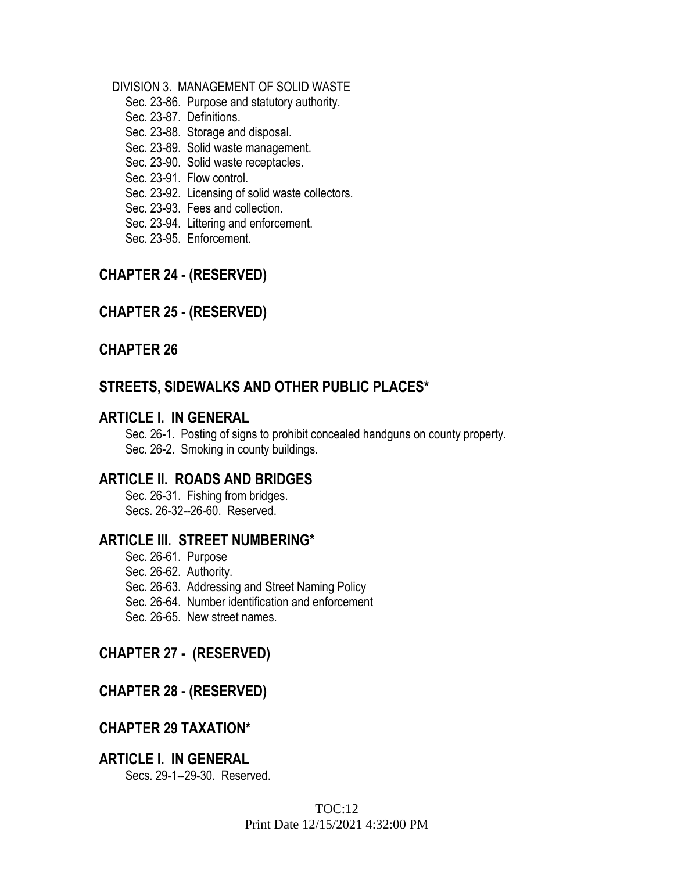#### DIVISION 3. MANAGEMENT OF SOLID WASTE

- Sec. 23-86. Purpose and statutory authority.
- Sec. 23-87. Definitions.
- Sec. 23-88. Storage and disposal.
- Sec. 23-89. Solid waste management.
- Sec. 23-90. Solid waste receptacles.
- Sec. 23-91. Flow control.
- Sec. 23-92. Licensing of solid waste collectors.
- Sec. 23-93. Fees and collection.
- Sec. 23-94. Littering and enforcement.
- Sec. 23-95. Enforcement.

## **CHAPTER 24 - (RESERVED)**

## **CHAPTER 25 - (RESERVED)**

### **CHAPTER 26**

## **STREETS, SIDEWALKS AND OTHER PUBLIC PLACES\***

#### **ARTICLE I. IN GENERAL**

Sec. 26-1. Posting of signs to prohibit concealed handguns on county property. Sec. 26-2. Smoking in county buildings.

## **ARTICLE II. ROADS AND BRIDGES**

Sec. 26-31. Fishing from bridges. Secs. 26-32--26-60. Reserved.

### **ARTICLE III. STREET NUMBERING\***

- Sec. 26-61. Purpose
- Sec. 26-62. Authority.
- Sec. 26-63. Addressing and Street Naming Policy
- Sec. 26-64. Number identification and enforcement
- Sec. 26-65. New street names.

### **CHAPTER 27 - (RESERVED)**

## **CHAPTER 28 - (RESERVED)**

## **CHAPTER 29 TAXATION\***

#### **ARTICLE I. IN GENERAL** Secs. 29-1--29-30. Reserved.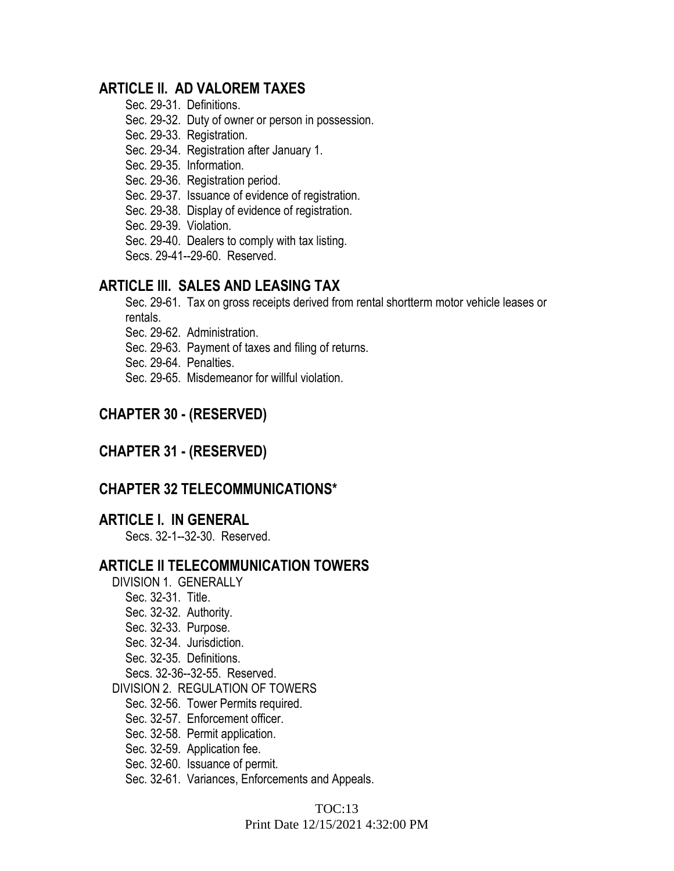## **ARTICLE II. AD VALOREM TAXES**

- Sec. 29-31. Definitions.
- Sec. 29-32. Duty of owner or person in possession.
- Sec. 29-33. Registration.
- Sec. 29-34. Registration after January 1.
- Sec. 29-35. Information.
- Sec. 29-36. Registration period.
- Sec. 29-37. Issuance of evidence of registration.
- Sec. 29-38. Display of evidence of registration.
- Sec. 29-39. Violation.
- Sec. 29-40. Dealers to comply with tax listing.

Secs. 29-41--29-60. Reserved.

## **ARTICLE III. SALES AND LEASING TAX**

Sec. 29-61. Tax on gross receipts derived from rental shortterm motor vehicle leases or rentals.

- Sec. 29-62. Administration.
- Sec. 29-63. Payment of taxes and filing of returns.
- Sec. 29-64. Penalties.
- Sec. 29-65. Misdemeanor for willful violation.

## **CHAPTER 30 - (RESERVED)**

## **CHAPTER 31 - (RESERVED)**

## **CHAPTER 32 TELECOMMUNICATIONS\***

### **ARTICLE I. IN GENERAL**

Secs. 32-1--32-30. Reserved.

### **ARTICLE II TELECOMMUNICATION TOWERS**

- DIVISION 1. GENERALLY
	- Sec. 32-31. Title.
	- Sec. 32-32. Authority.
	- Sec. 32-33. Purpose.
	- Sec. 32-34. Jurisdiction.
	- Sec. 32-35. Definitions.
	- Secs. 32-36--32-55. Reserved.

DIVISION 2. REGULATION OF TOWERS

- Sec. 32-56. Tower Permits required.
- Sec. 32-57. Enforcement officer.
- Sec. 32-58. Permit application.
- Sec. 32-59. Application fee.
- Sec. 32-60. Issuance of permit.
- Sec. 32-61. Variances, Enforcements and Appeals.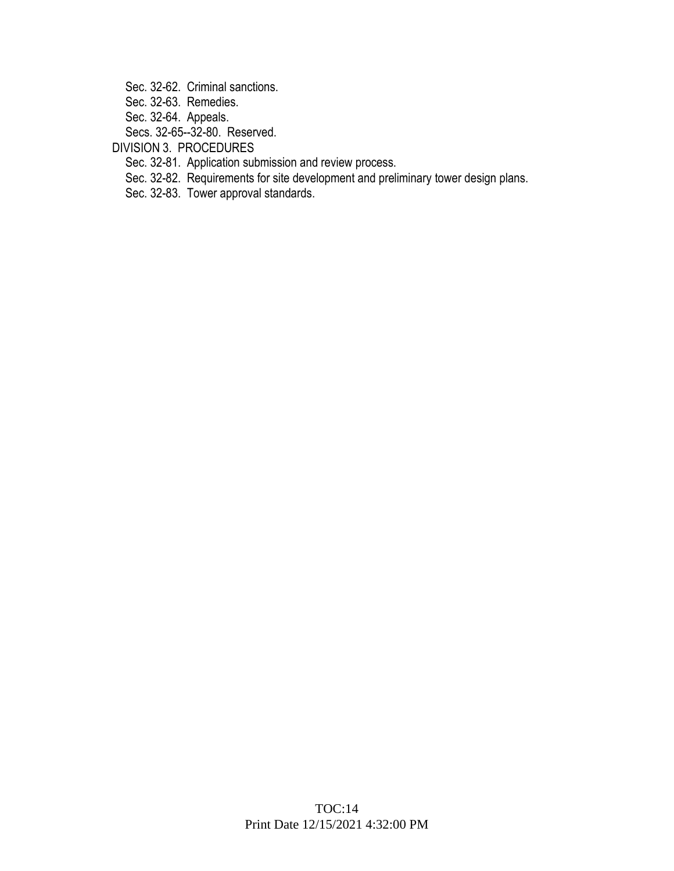Sec. 32-62. Criminal sanctions.

Sec. 32-63. Remedies.

Sec. 32-64. Appeals.

Secs. 32-65--32-80. Reserved.

DIVISION 3. PROCEDURES

Sec. 32-81. Application submission and review process.

Sec. 32-82. Requirements for site development and preliminary tower design plans.

Sec. 32-83. Tower approval standards.